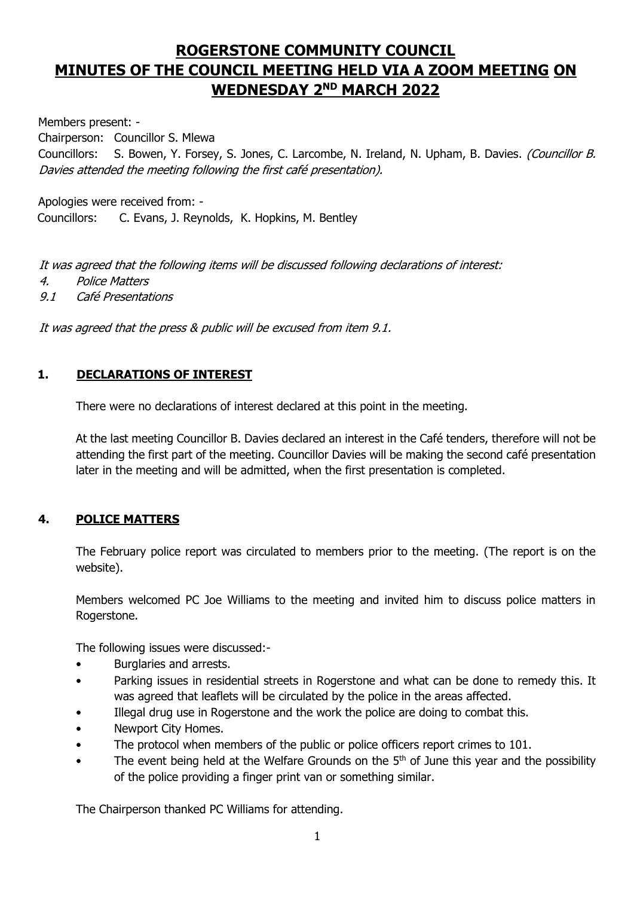# **ROGERSTONE COMMUNITY COUNCIL MINUTES OF THE COUNCIL MEETING HELD VIA A ZOOM MEETING ON WEDNESDAY 2 ND MARCH 2022**

Members present: -

Chairperson: Councillor S. Mlewa

Councillors: S. Bowen, Y. Forsey, S. Jones, C. Larcombe, N. Ireland, N. Upham, B. Davies. (Councillor B. Davies attended the meeting following the first café presentation).

Apologies were received from: -

Councillors: C. Evans, J. Reynolds, K. Hopkins, M. Bentley

It was agreed that the following items will be discussed following declarations of interest:

- 4. Police Matters
- 9.1 Café Presentations

It was agreed that the press & public will be excused from item 9.1.

### **1. DECLARATIONS OF INTEREST**

There were no declarations of interest declared at this point in the meeting.

At the last meeting Councillor B. Davies declared an interest in the Café tenders, therefore will not be attending the first part of the meeting. Councillor Davies will be making the second café presentation later in the meeting and will be admitted, when the first presentation is completed.

### **4. POLICE MATTERS**

The February police report was circulated to members prior to the meeting. (The report is on the website).

Members welcomed PC Joe Williams to the meeting and invited him to discuss police matters in Rogerstone.

The following issues were discussed:-

- Burglaries and arrests.
- Parking issues in residential streets in Rogerstone and what can be done to remedy this. It was agreed that leaflets will be circulated by the police in the areas affected.
- Illegal drug use in Rogerstone and the work the police are doing to combat this.
- Newport City Homes.
- The protocol when members of the public or police officers report crimes to 101.
- The event being held at the Welfare Grounds on the  $5<sup>th</sup>$  of June this year and the possibility of the police providing a finger print van or something similar.

The Chairperson thanked PC Williams for attending.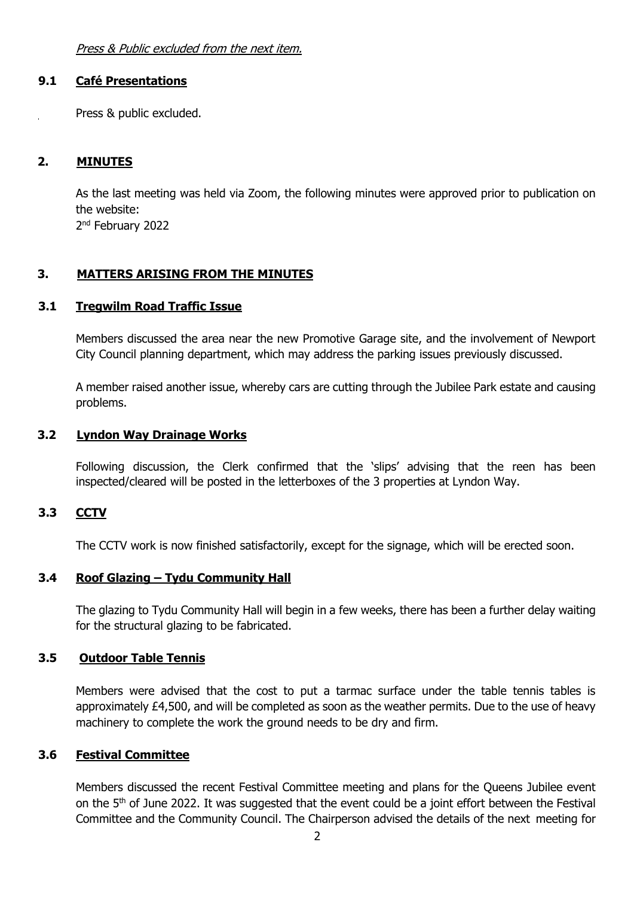Press & Public excluded from the next item.

#### **9.1 Café Presentations**

Press & public excluded.

#### **2. MINUTES**

As the last meeting was held via Zoom, the following minutes were approved prior to publication on the website:

2<sup>nd</sup> February 2022

### **3. MATTERS ARISING FROM THE MINUTES**

### **3.1 Tregwilm Road Traffic Issue**

Members discussed the area near the new Promotive Garage site, and the involvement of Newport City Council planning department, which may address the parking issues previously discussed.

A member raised another issue, whereby cars are cutting through the Jubilee Park estate and causing problems.

#### **3.2 Lyndon Way Drainage Works**

Following discussion, the Clerk confirmed that the 'slips' advising that the reen has been inspected/cleared will be posted in the letterboxes of the 3 properties at Lyndon Way.

### **3.3 CCTV**

The CCTV work is now finished satisfactorily, except for the signage, which will be erected soon.

### **3.4 Roof Glazing – Tydu Community Hall**

The glazing to Tydu Community Hall will begin in a few weeks, there has been a further delay waiting for the structural glazing to be fabricated.

### **3.5 Outdoor Table Tennis**

Members were advised that the cost to put a tarmac surface under the table tennis tables is approximately £4,500, and will be completed as soon as the weather permits. Due to the use of heavy machinery to complete the work the ground needs to be dry and firm.

# **3.6 Festival Committee**

Members discussed the recent Festival Committee meeting and plans for the Queens Jubilee event on the 5<sup>th</sup> of June 2022. It was suggested that the event could be a joint effort between the Festival Committee and the Community Council. The Chairperson advised the details of the next meeting for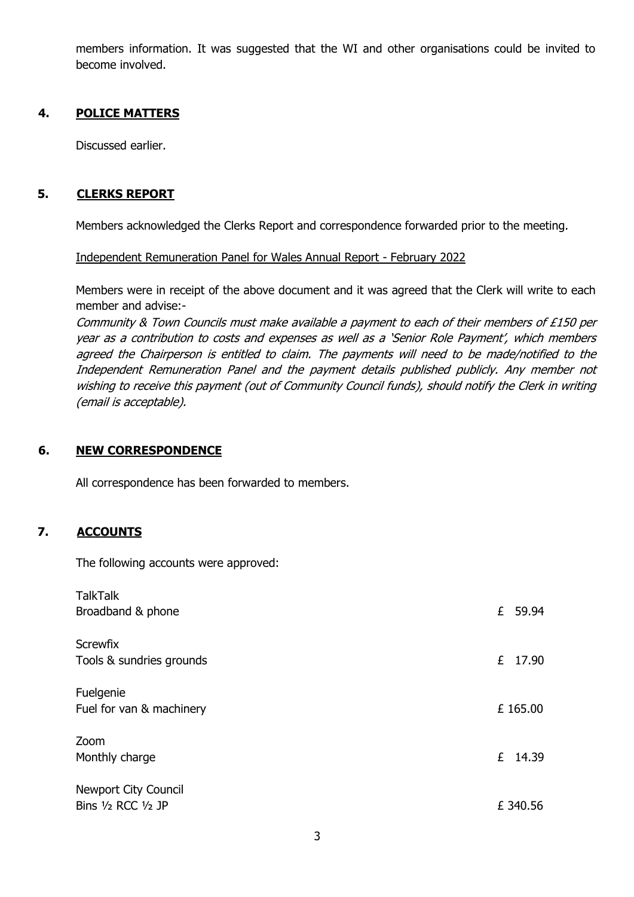members information. It was suggested that the WI and other organisations could be invited to become involved.

# **4. POLICE MATTERS**

Discussed earlier.

### **5. CLERKS REPORT**

Members acknowledged the Clerks Report and correspondence forwarded prior to the meeting.

Independent Remuneration Panel for Wales Annual Report - February 2022

Members were in receipt of the above document and it was agreed that the Clerk will write to each member and advise:-

Community & Town Councils must make available a payment to each of their members of £150 per year as a contribution to costs and expenses as well as a 'Senior Role Payment', which members agreed the Chairperson is entitled to claim. The payments will need to be made/notified to the Independent Remuneration Panel and the payment details published publicly. Any member not wishing to receive this payment (out of Community Council funds), should notify the Clerk in writing (email is acceptable).

### **6. NEW CORRESPONDENCE**

All correspondence has been forwarded to members.

### **7. ACCOUNTS**

The following accounts were approved:

| <b>TalkTalk</b><br>Broadband & phone                   | £ 59.94  |
|--------------------------------------------------------|----------|
| <b>Screwfix</b><br>Tools & sundries grounds            | £ 17.90  |
| Fuelgenie<br>Fuel for van & machinery                  | £ 165.00 |
| Zoom<br>Monthly charge                                 | £ 14.39  |
| <b>Newport City Council</b><br>Bins $1/2$ RCC $1/2$ JP | £ 340.56 |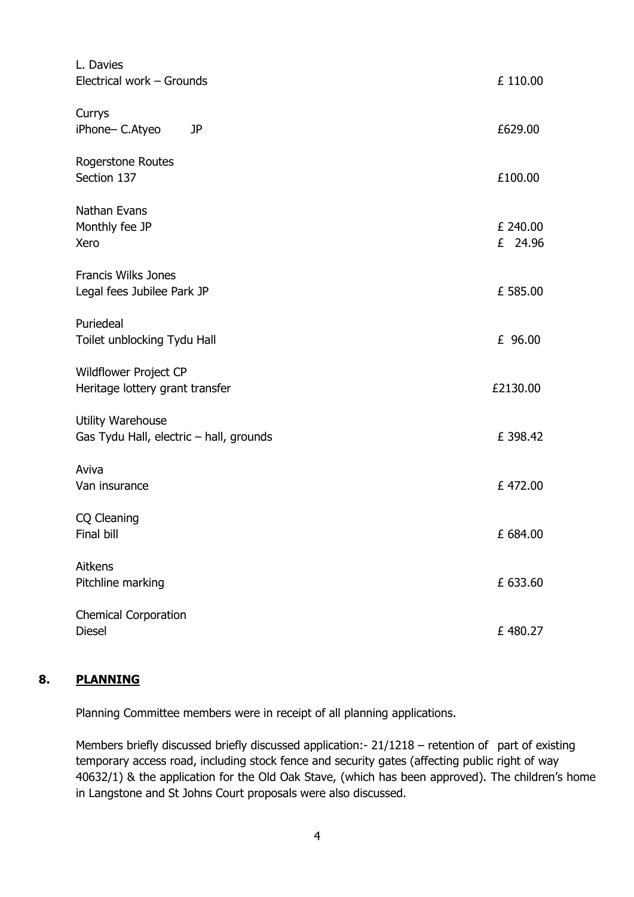| L. Davies<br>Electrical work - Grounds                       | £ 110.00            |
|--------------------------------------------------------------|---------------------|
| Currys<br>iPhone- C.Atyeo<br>JP                              | £629.00             |
| <b>Rogerstone Routes</b><br>Section 137                      | £100.00             |
| Nathan Evans<br>Monthly fee JP<br>Xero                       | £ 240.00<br>£ 24.96 |
| <b>Francis Wilks Jones</b><br>Legal fees Jubilee Park JP     | £ 585.00            |
| Puriedeal<br>Toilet unblocking Tydu Hall                     | £ 96.00             |
| Wildflower Project CP<br>Heritage lottery grant transfer     | £2130.00            |
| Utility Warehouse<br>Gas Tydu Hall, electric - hall, grounds | £398.42             |
| Aviva<br>Van insurance                                       | £472.00             |
| CQ Cleaning<br>Final bill                                    | £ 684.00            |
| Aitkens<br>Pitchline marking                                 | £ 633.60            |
| <b>Chemical Corporation</b><br><b>Diesel</b>                 | £480.27             |

### **8. PLANNING**

Planning Committee members were in receipt of all planning applications.

Members briefly discussed briefly discussed application:- 21/1218 – retention of part of existing temporary access road, including stock fence and security gates (affecting public right of way 40632/1) & the application for the Old Oak Stave, (which has been approved). The children's home in Langstone and St Johns Court proposals were also discussed.